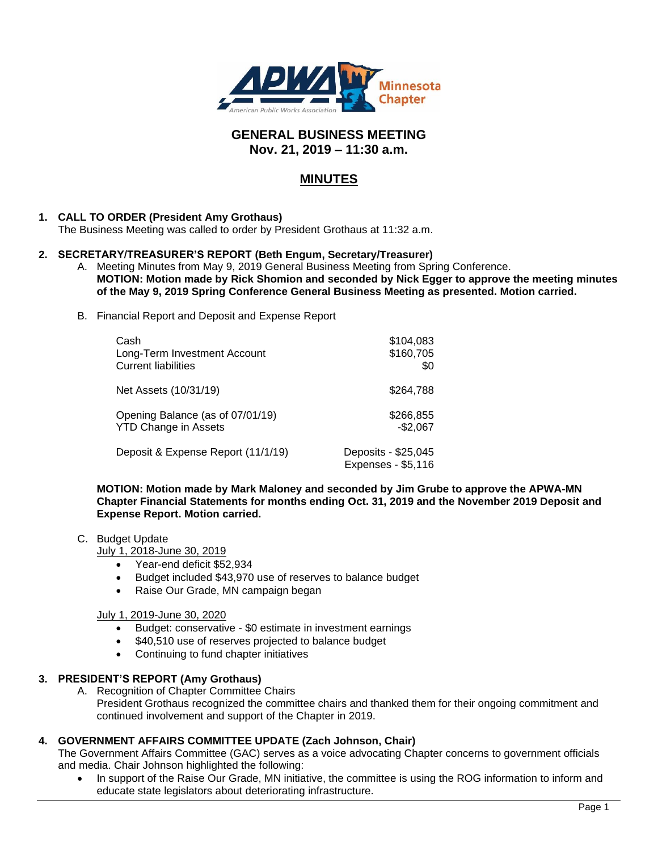

# **GENERAL BUSINESS MEETING Nov. 21, 2019 – 11:30 a.m.**

# **MINUTES**

# **1. CALL TO ORDER (President Amy Grothaus)**

The Business Meeting was called to order by President Grothaus at 11:32 a.m.

#### **2. SECRETARY/TREASURER'S REPORT (Beth Engum, Secretary/Treasurer)**

- A. Meeting Minutes from May 9, 2019 General Business Meeting from Spring Conference. **MOTION: Motion made by Rick Shomion and seconded by Nick Egger to approve the meeting minutes of the May 9, 2019 Spring Conference General Business Meeting as presented. Motion carried.**
- B. Financial Report and Deposit and Expense Report

| Cash                               | \$104,083                                 |
|------------------------------------|-------------------------------------------|
| Long-Term Investment Account       | \$160,705                                 |
| <b>Current liabilities</b>         | \$0                                       |
| Net Assets (10/31/19)              | \$264,788                                 |
| Opening Balance (as of 07/01/19)   | \$266,855                                 |
| <b>YTD Change in Assets</b>        | $-$2,067$                                 |
| Deposit & Expense Report (11/1/19) | Deposits - \$25,045<br>Expenses - \$5,116 |

**MOTION: Motion made by Mark Maloney and seconded by Jim Grube to approve the APWA-MN Chapter Financial Statements for months ending Oct. 31, 2019 and the November 2019 Deposit and Expense Report. Motion carried.**

#### C. Budget Update

July 1, 2018-June 30, 2019

- Year-end deficit \$52,934
- Budget included \$43,970 use of reserves to balance budget
- Raise Our Grade, MN campaign began

#### July 1, 2019-June 30, 2020

- Budget: conservative \$0 estimate in investment earnings
- \$40,510 use of reserves projected to balance budget
- Continuing to fund chapter initiatives

# **3. PRESIDENT'S REPORT (Amy Grothaus)**

A. Recognition of Chapter Committee Chairs President Grothaus recognized the committee chairs and thanked them for their ongoing commitment and continued involvement and support of the Chapter in 2019.

# **4. GOVERNMENT AFFAIRS COMMITTEE UPDATE (Zach Johnson, Chair)**

The Government Affairs Committee (GAC) serves as a voice advocating Chapter concerns to government officials and media. Chair Johnson highlighted the following:

In support of the Raise Our Grade, MN initiative, the committee is using the ROG information to inform and educate state legislators about deteriorating infrastructure.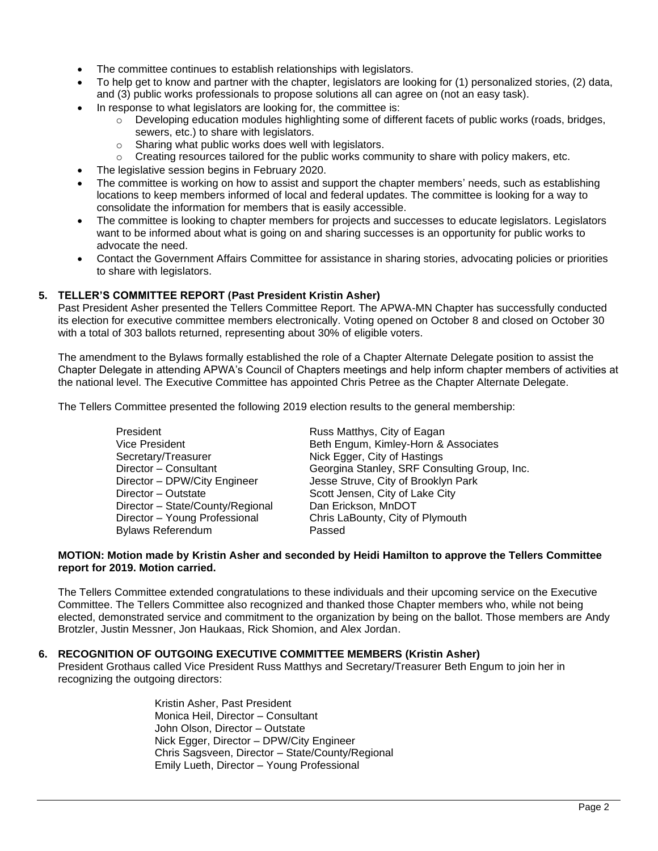- The committee continues to establish relationships with legislators.
- To help get to know and partner with the chapter, legislators are looking for (1) personalized stories, (2) data, and (3) public works professionals to propose solutions all can agree on (not an easy task).
	- In response to what legislators are looking for, the committee is:
		- $\circ$  Developing education modules highlighting some of different facets of public works (roads, bridges, sewers, etc.) to share with legislators.
		- o Sharing what public works does well with legislators.
		- $\circ$  Creating resources tailored for the public works community to share with policy makers, etc.
- The legislative session begins in February 2020.
- The committee is working on how to assist and support the chapter members' needs, such as establishing locations to keep members informed of local and federal updates. The committee is looking for a way to consolidate the information for members that is easily accessible.
- The committee is looking to chapter members for projects and successes to educate legislators. Legislators want to be informed about what is going on and sharing successes is an opportunity for public works to advocate the need.
- Contact the Government Affairs Committee for assistance in sharing stories, advocating policies or priorities to share with legislators.

#### **5. TELLER'S COMMITTEE REPORT (Past President Kristin Asher)**

Past President Asher presented the Tellers Committee Report. The APWA-MN Chapter has successfully conducted its election for executive committee members electronically. Voting opened on October 8 and closed on October 30 with a total of 303 ballots returned, representing about 30% of eligible voters.

The amendment to the Bylaws formally established the role of a Chapter Alternate Delegate position to assist the Chapter Delegate in attending APWA's Council of Chapters meetings and help inform chapter members of activities at the national level. The Executive Committee has appointed Chris Petree as the Chapter Alternate Delegate.

The Tellers Committee presented the following 2019 election results to the general membership:

President **Russ Matthys, City of Eagan** Secretary/Treasurer Nick Egger, City of Hastings Director – Outstate Scott Jensen, City of Lake City Director – State/County/Regional Dan Erickson, MnDOT Bylaws Referendum Passed

Vice President **Beth Engum, Kimley-Horn & Associates** Director – Consultant Georgina Stanley, SRF Consulting Group, Inc. Director – DPW/City Engineer Jesse Struve, City of Brooklyn Park Director – Young Professional Chris LaBounty, City of Plymouth

#### **MOTION: Motion made by Kristin Asher and seconded by Heidi Hamilton to approve the Tellers Committee report for 2019. Motion carried.**

The Tellers Committee extended congratulations to these individuals and their upcoming service on the Executive Committee. The Tellers Committee also recognized and thanked those Chapter members who, while not being elected, demonstrated service and commitment to the organization by being on the ballot. Those members are Andy Brotzler, Justin Messner, Jon Haukaas, Rick Shomion, and Alex Jordan.

#### **6. RECOGNITION OF OUTGOING EXECUTIVE COMMITTEE MEMBERS (Kristin Asher)**

President Grothaus called Vice President Russ Matthys and Secretary/Treasurer Beth Engum to join her in recognizing the outgoing directors:

> Kristin Asher, Past President Monica Heil, Director – Consultant John Olson, Director – Outstate Nick Egger, Director – DPW/City Engineer Chris Sagsveen, Director – State/County/Regional Emily Lueth, Director – Young Professional